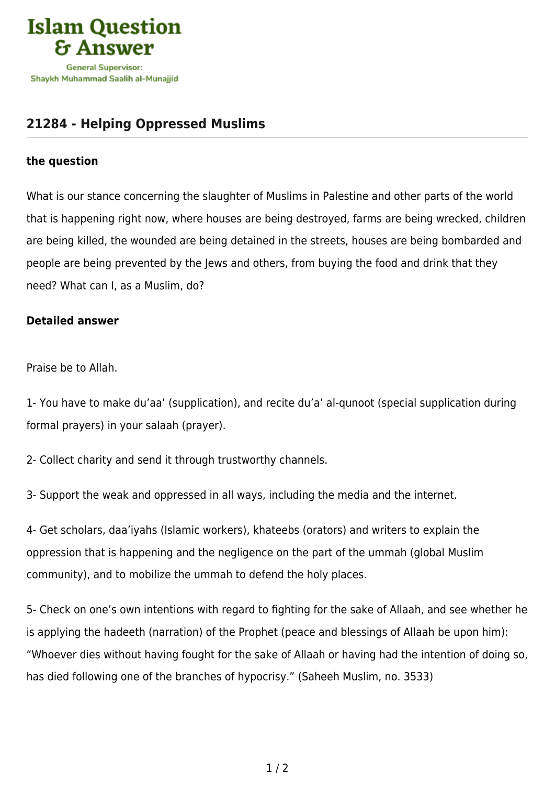

## **[21284 - Helping Oppressed Muslims](https://islamqa.com/en/answers/21284/helping-oppressed-muslims)**

## **the question**

What is our stance concerning the slaughter of Muslims in Palestine and other parts of the world that is happening right now, where houses are being destroyed, farms are being wrecked, children are being killed, the wounded are being detained in the streets, houses are being bombarded and people are being prevented by the Jews and others, from buving the food and drink that they need? What can I, as a Muslim, do?

## **Detailed answer**

Praise be to Allah.

1- You have to make du'aa' (supplication), and recite du'a' al-qunoot (special supplication during formal prayers) in your salaah (prayer).

2- Collect charity and send it through trustworthy channels.

3- Support the weak and oppressed in all ways, including the media and the internet.

4- Get scholars, daa'iyahs (Islamic workers), khateebs (orators) and writers to explain the oppression that is happening and the negligence on the part of the ummah (global Muslim community), and to mobilize the ummah to defend the holy places.

5- Check on one's own intentions with regard to fighting for the sake of Allaah, and see whether he is applying the hadeeth (narration) of the Prophet (peace and blessings of Allaah be upon him): "Whoever dies without having fought for the sake of Allaah or having had the intention of doing so, has died following one of the branches of hypocrisy." (Saheeh Muslim, no. 3533)